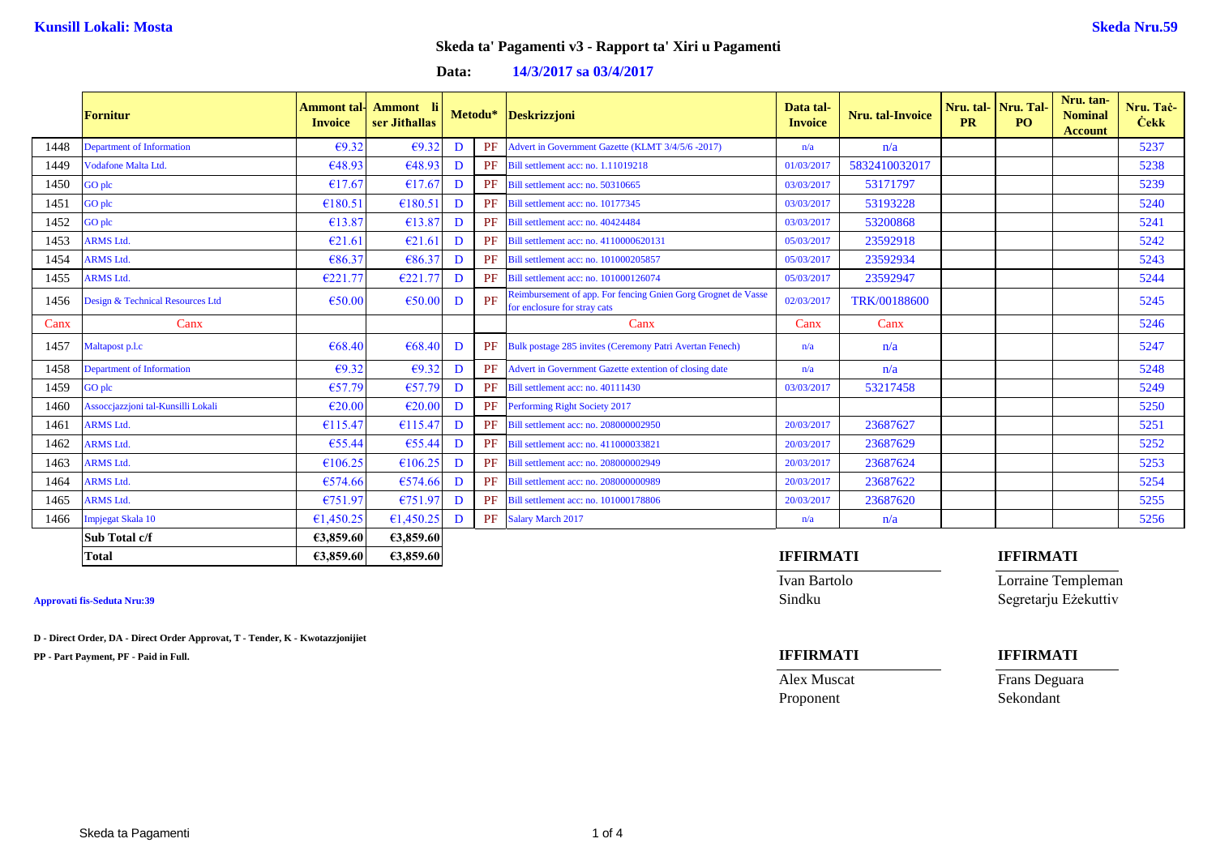## **Data: 14/3/2017 sa 03/4/2017**

|      | <b>Fornitur</b>                    | <b>Invoice</b> | Ammont tal- Ammont li<br>ser Jithallas | Metodu* |    | <b>Deskrizzjoni</b>                                                                           | Data tal-<br><b>Invoice</b> | <b>Nru.</b> tal-Invoice | <b>PR</b> | Nru. tal-Nru. Tal-<br><b>PO</b> | Nru. tan-<br><b>Nominal</b><br><b>Account</b> | Nru. Tač-<br><b>Cekk</b> |
|------|------------------------------------|----------------|----------------------------------------|---------|----|-----------------------------------------------------------------------------------------------|-----------------------------|-------------------------|-----------|---------------------------------|-----------------------------------------------|--------------------------|
| 1448 | Department of Information          | E9.32          | E9.32                                  | D       |    | Advert in Government Gazette (KLMT 3/4/5/6 -2017)                                             | n/a                         | n/a                     |           |                                 |                                               | 5237                     |
| 1449 | Vodafone Malta Ltd.                | €48.93         | €48.93                                 | D       | PF | Bill settlement acc: no. 1.11019218                                                           | 01/03/2017                  | 5832410032017           |           |                                 |                                               | 5238                     |
| 1450 | GO plc                             | €17.67         | €17.67                                 | D       | PF | Bill settlement acc: no. 50310665                                                             | 03/03/2017                  | 53171797                |           |                                 |                                               | 5239                     |
| 1451 | GO plc                             | €180.51        | €180.51                                | D       | PF | Bill settlement acc: no. 10177345                                                             | 03/03/2017                  | 53193228                |           |                                 |                                               | 5240                     |
| 1452 | GO plc                             | €13.87         | €13.87                                 | D       | PF | Bill settlement acc: no. 40424484                                                             | 03/03/2017                  | 53200868                |           |                                 |                                               | 5241                     |
| 1453 | <b>ARMS Ltd.</b>                   | E21.61         | E21.61                                 | D       |    | Bill settlement acc: no. 4110000620131                                                        | 05/03/2017                  | 23592918                |           |                                 |                                               | 5242                     |
| 1454 | <b>ARMS Ltd.</b>                   | €86.37         | €86.37                                 | D       | PF | Bill settlement acc: no. 101000205857                                                         | 05/03/2017                  | 23592934                |           |                                 |                                               | 5243                     |
| 1455 | <b>ARMS Ltd.</b>                   | €221.77        | €221.77                                | D       | PF | Bill settlement acc: no. 101000126074                                                         | 05/03/2017                  | 23592947                |           |                                 |                                               | 5244                     |
| 1456 | Design & Technical Resources Ltd   | €50.00         | €50.00                                 | D       | PF | Reimbursement of app. For fencing Gnien Gorg Grognet de Vasse<br>for enclosure for stray cats | 02/03/2017                  | TRK/00188600            |           |                                 |                                               | 5245                     |
| Canx | Canx                               |                |                                        |         |    | Canx                                                                                          | Canx                        | Canx                    |           |                                 |                                               | 5246                     |
| 1457 | Maltapost p.l.c                    | €68.40         | €68.40                                 | D       |    | PF Bulk postage 285 invites (Ceremony Patri Avertan Fenech)                                   | n/a                         | n/a                     |           |                                 |                                               | 5247                     |
| 1458 | Department of Information          | E9.32          | E9.32                                  | D       |    | Advert in Government Gazette extention of closing date                                        | n/a                         | n/a                     |           |                                 |                                               | 5248                     |
| 1459 | GO plc                             | €57.79         | €57.79                                 | D       | PF | Bill settlement acc: no. 40111430                                                             | 03/03/2017                  | 53217458                |           |                                 |                                               | 5249                     |
| 1460 | Assoccjazzjoni tal-Kunsilli Lokali | €20.00         | E20.00                                 | D       | PF | Performing Right Society 2017                                                                 |                             |                         |           |                                 |                                               | 5250                     |
| 1461 | <b>ARMS Ltd.</b>                   | €115.47        | €115.47                                | D       |    | Bill settlement acc: no. 208000002950                                                         | 20/03/2017                  | 23687627                |           |                                 |                                               | 5251                     |
| 1462 | <b>ARMS Ltd.</b>                   | €55.44         | €55.44                                 | D       | PF | Bill settlement acc: no. 411000033821                                                         | 20/03/2017                  | 23687629                |           |                                 |                                               | 5252                     |
| 1463 | <b>ARMS Ltd.</b>                   | €106.25        | €106.25                                | D       | PF | Bill settlement acc: no. 208000002949                                                         | 20/03/2017                  | 23687624                |           |                                 |                                               | 5253                     |
| 1464 | <b>ARMS Ltd.</b>                   | €574.66        | €574.66                                | D       | PF | Bill settlement acc: no. 208000000989                                                         | 20/03/2017                  | 23687622                |           |                                 |                                               | 5254                     |
| 1465 | <b>ARMS Ltd.</b>                   | €751.97        | €751.97                                | D       | PF | Bill settlement acc: no. 101000178806                                                         | 20/03/2017                  | 23687620                |           |                                 |                                               | 5255                     |
| 1466 | Impjegat Skala 10                  | €1,450.25      | €1,450.25                              | D       |    | PF Salary March 2017                                                                          | n/a                         | n/a                     |           |                                 |                                               | 5256                     |
|      | Sub Total c/f                      | €3,859.60      | €3,859.60                              |         |    |                                                                                               |                             |                         |           |                                 |                                               |                          |

**D - Direct Order, DA - Direct Order Approvat, T - Tender, K - Kwotazzjonijiet**

**PP - Part Payment, PF - Paid in Full. IFFIRMATI IFFIRMATI**

### **Total €3,859.60 €3,859.60 IFFIRMATI IFFIRMATI**

Ivan Bartolo Lorraine Templeman Approvati fis-Seduta Nru:39 Sindku Segretarju Eżekuttiv

Proponent Sekondant

Alex Muscat Frans Deguara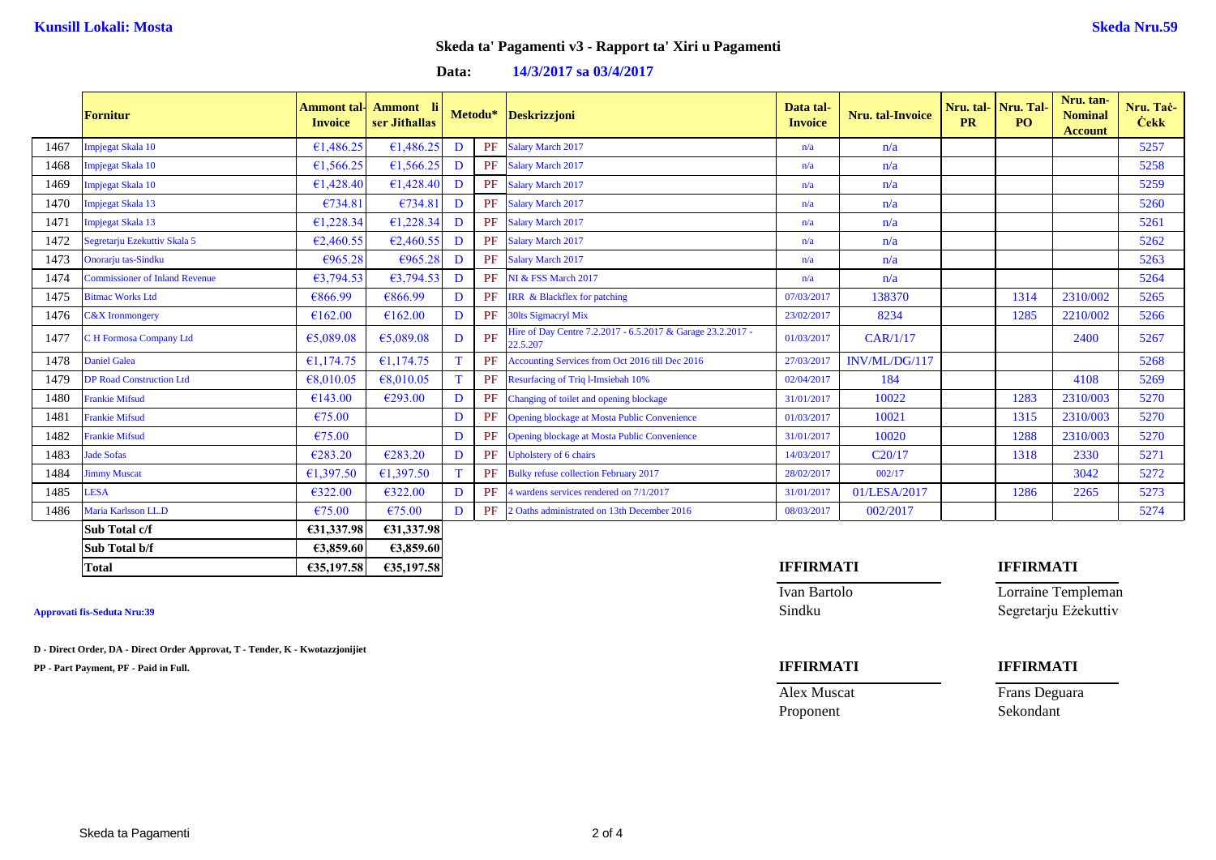## **Data: 14/3/2017 sa 03/4/2017**

|      | <b>Fornitur</b>                       | <b>Invoice</b> | <b>Ammont tal- Ammont</b> li<br>ser Jithallas | Metodu* |    | <b>Deskrizzjoni</b>                                                     | Data tal-<br><b>Invoice</b> | <b>Nru.</b> tal-Invoice | <b>PR</b> | Nru. tal- Nru. Tal-<br>PO. | Nru. tan-<br><b>Nominal</b><br><b>Account</b> | Nru. Tač-<br><b>Cekk</b> |
|------|---------------------------------------|----------------|-----------------------------------------------|---------|----|-------------------------------------------------------------------------|-----------------------------|-------------------------|-----------|----------------------------|-----------------------------------------------|--------------------------|
| 1467 | Impjegat Skala 10                     | €1,486.25      | 61,486.25                                     | D       | PF | Salary March 2017                                                       | n/a                         | n/a                     |           |                            |                                               | 5257                     |
| 1468 | Impjegat Skala 10                     | €1,566.25      | €1,566.25                                     | D       | PF | Salary March 2017                                                       | n/a                         | n/a                     |           |                            |                                               | 5258                     |
| 1469 | Impjegat Skala 10                     | €1,428,40      | £1,428.40                                     | D       | PF | Salary March 2017                                                       | n/a                         | n/a                     |           |                            |                                               | 5259                     |
| 1470 | Impjegat Skala 13                     | €734.81        | €734.81                                       | D       | PF | Salary March 2017                                                       | n/a                         | n/a                     |           |                            |                                               | 5260                     |
| 1471 | Impjegat Skala 13                     | €1,228.34      | £1,228.34                                     | D       | PF | Salary March 2017                                                       | n/a                         | n/a                     |           |                            |                                               | 5261                     |
| 1472 | Segretarju Ezekuttiv Skala 5          | E2,460.55      | E2,460.55                                     | D       | PF | Salary March 2017                                                       | n/a                         | n/a                     |           |                            |                                               | 5262                     |
| 1473 | Onorarju tas-Sindku                   | €965.28        | €965.28                                       | D       | PF | Salary March 2017                                                       | n/a                         | n/a                     |           |                            |                                               | 5263                     |
| 1474 | <b>Commissioner of Inland Revenue</b> | 63,794.53      | 63,794.53                                     | D       | PF | NI & FSS March 2017                                                     | n/a                         | n/a                     |           |                            |                                               | 5264                     |
| 1475 | <b>Bitmac Works Ltd</b>               | €866.99        | €866.99                                       | D       |    | IRR & Blackflex for patching                                            | 07/03/2017                  | 138370                  |           | 1314                       | 2310/002                                      | 5265                     |
| 1476 | $C&X$ Ironmongery                     | €162.00        | €162.00                                       | D       | PF | 30lts Sigmacryl Mix                                                     | 23/02/2017                  | 8234                    |           | 1285                       | 2210/002                                      | 5266                     |
| 1477 | <b>H</b> Formosa Company Ltd          | €5,089.08      | €5,089.08                                     | D       | PF | Hire of Day Centre 7.2.2017 - 6.5.2017 & Garage 23.2.2017 -<br>22.5.207 | 01/03/2017                  | CAR/1/17                |           |                            | 2400                                          | 5267                     |
| 1478 | Daniel Galea                          | £1,174.75      | €1,174.75                                     | T       | PF | Accounting Services from Oct 2016 till Dec 2016                         | 27/03/2017                  | INV/ML/DG/117           |           |                            |                                               | 5268                     |
| 1479 | <b>DP Road Construction Ltd</b>       | €8,010.05      | €8,010.05                                     | T       | PF | Resurfacing of Triq l-Imsiebah 10%                                      | 02/04/2017                  | 184                     |           |                            | 4108                                          | 5269                     |
| 1480 | Frankie Mifsud                        | €143.00        | $\epsilon$ 293.00                             | D       | PF | Changing of toilet and opening blockage                                 | 31/01/2017                  | 10022                   |           | 1283                       | 2310/003                                      | 5270                     |
| 1481 | <b>Frankie Mifsud</b>                 | €75.00         |                                               | D       | PF | Opening blockage at Mosta Public Convenience                            | 01/03/2017                  | 10021                   |           | 1315                       | 2310/003                                      | 5270                     |
| 1482 | Frankie Mifsud                        | €75.00         |                                               | D       | PF | Opening blockage at Mosta Public Convenience                            | 31/01/2017                  | 10020                   |           | 1288                       | 2310/003                                      | 5270                     |
| 1483 | <b>Jade Sofas</b>                     | €283.20        | €283.20                                       | D       | PF | Upholstery of 6 chairs                                                  | 14/03/2017                  | C20/17                  |           | 1318                       | 2330                                          | 5271                     |
| 1484 | immy Muscat                           | €1,397.50      | £1,397.50                                     | T       | PF | <b>Bulky refuse collection February 2017</b>                            | 28/02/2017                  | 002/17                  |           |                            | 3042                                          | 5272                     |
| 1485 | LESA                                  | 6322.00        | €322.00                                       | D       | PF | 4 wardens services rendered on 7/1/2017                                 | 31/01/2017                  | 01/LESA/2017            |           | 1286                       | 2265                                          | 5273                     |
| 1486 | Maria Karlsson LL.D                   | €75.00         | €75.00                                        | D       | PF | 2 Oaths administrated on 13th December 2016                             | 08/03/2017                  | 002/2017                |           |                            |                                               | 5274                     |
|      | Sub Total c/f                         | €31,337.98     | €31,337.98                                    |         |    |                                                                         |                             |                         |           |                            |                                               |                          |
|      | Sub Total b/f                         | €3,859.60      | €3,859.60                                     |         |    |                                                                         |                             |                         |           |                            |                                               |                          |

**D - Direct Order, DA - Direct Order Approvat, T - Tender, K - Kwotazzjonijiet**

**PP - Part Payment, PF - Paid in Full. IFFIRMATI IFFIRMATI**

### **Total €35,197.58 €35,197.58 IFFIRMATI IFFIRMATI**

Proponent Sekondant

Ivan Bartolo **Lorraine Templeman** Approvati fis-Seduta Nru:39 Sindku Segretarju Eżekuttiv

Alex Muscat Frans Deguara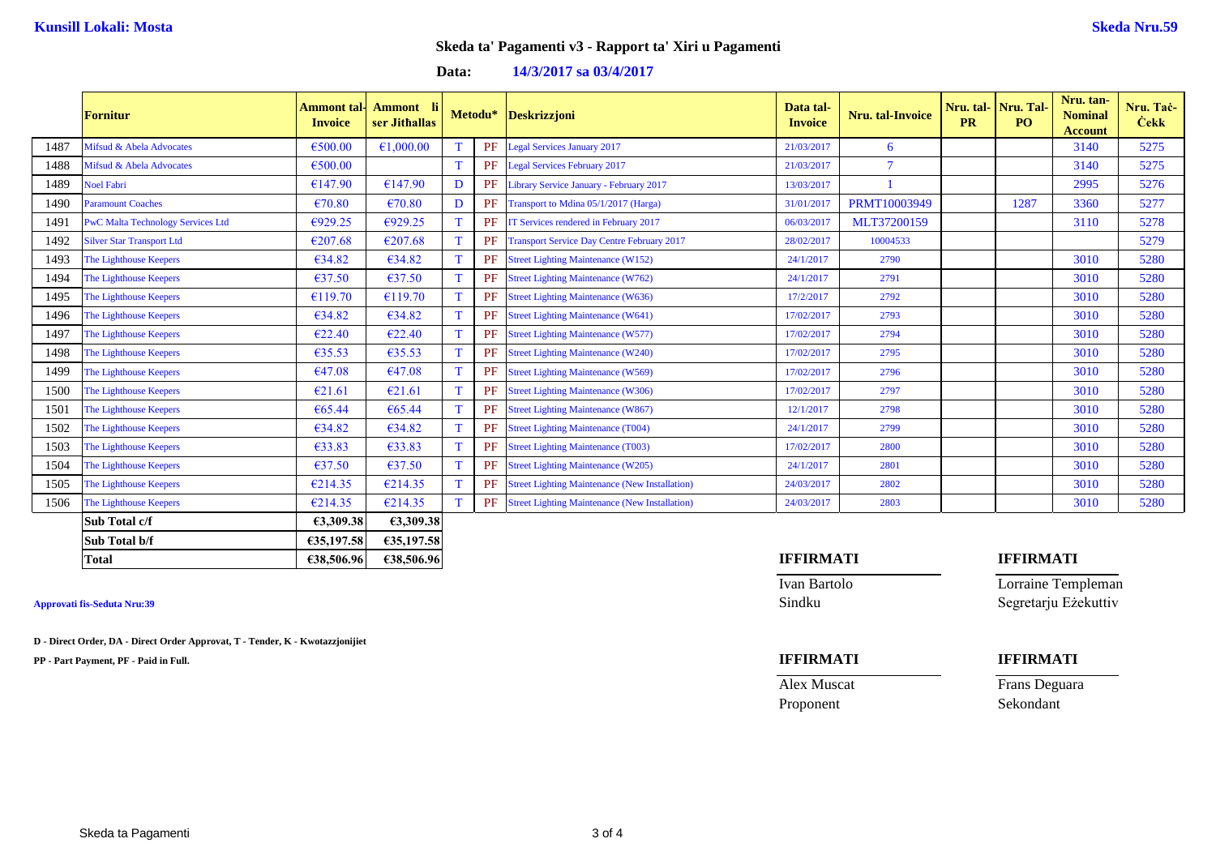# **Data: 14/3/2017 sa 03/4/2017**

|      | <b>Fornitur</b>                          | Ammont tal·l<br><b>Invoice</b> | Ammont li<br>ser Jithallas | Metodu*      |    | <b>Deskrizzjoni</b>                                   | Data tal-<br><b>Invoice</b> | Nru. tal-Invoice | <b>PR</b> | Nru. tal- Nru. Tal-<br>PO. | Nru. tan-<br><b>Nominal</b><br><b>Account</b> | Nru. Tač-<br><b>Cekk</b> |
|------|------------------------------------------|--------------------------------|----------------------------|--------------|----|-------------------------------------------------------|-----------------------------|------------------|-----------|----------------------------|-----------------------------------------------|--------------------------|
| 1487 | Mifsud & Abela Advocates                 | €500.00                        | €1,000.00                  |              | PF | <b>Legal Services January 2017</b>                    | 21/03/2017                  | 6                |           |                            | 3140                                          | 5275                     |
| 1488 | Mifsud & Abela Advocates                 | €500.00                        |                            |              | PF | <b>Legal Services February 2017</b>                   | 21/03/2017                  | -7               |           |                            | 3140                                          | 5275                     |
| 1489 | <b>Noel Fabri</b>                        | €147.90                        | €147.90                    | D            | PF | Library Service January - February 2017               | 13/03/2017                  |                  |           |                            | 2995                                          | 5276                     |
| 1490 | <b>Paramount Coaches</b>                 | $\epsilon$ 70.80               | $\epsilon$ 70.80           | D            | PF | Transport to Mdina 05/1/2017 (Harga)                  | 31/01/2017                  | PRMT10003949     |           | 1287                       | 3360                                          | 5277                     |
| 1491 | <b>PwC Malta Technology Services Ltd</b> | E929.25                        | E929.25                    |              | PF | IT Services rendered in February 2017                 | 06/03/2017                  | MLT37200159      |           |                            | 3110                                          | 5278                     |
| 1492 | <b>Silver Star Transport Ltd</b>         | €207.68                        | €207.68                    |              | PF | <b>Transport Service Day Centre February 2017</b>     | 28/02/2017                  | 10004533         |           |                            |                                               | 5279                     |
| 1493 | The Lighthouse Keepers                   | €34.82                         | €34.82                     |              | PF | <b>Street Lighting Maintenance (W152)</b>             | 24/1/2017                   | 2790             |           |                            | 3010                                          | 5280                     |
| 1494 | The Lighthouse Keepers                   | €37.50                         | €37.50                     |              | PF | <b>Street Lighting Maintenance (W762)</b>             | 24/1/2017                   | 2791             |           |                            | 3010                                          | 5280                     |
| 1495 | The Lighthouse Keepers                   | €119.70                        | €119.70                    |              | PF | <b>Street Lighting Maintenance (W636)</b>             | 17/2/2017                   | 2792             |           |                            | 3010                                          | 5280                     |
| 1496 | The Lighthouse Keepers                   | €34.82                         | €34.82                     |              | PF | <b>Street Lighting Maintenance (W641)</b>             | 17/02/2017                  | 2793             |           |                            | 3010                                          | 5280                     |
| 1497 | The Lighthouse Keepers                   | $\epsilon$ 22.40               | E22.40                     |              | PF | <b>Street Lighting Maintenance (W577)</b>             | 17/02/2017                  | 2794             |           |                            | 3010                                          | 5280                     |
| 1498 | The Lighthouse Keepers                   | €35.53                         | C35.53                     |              | PF | <b>Street Lighting Maintenance (W240)</b>             | 17/02/2017                  | 2795             |           |                            | 3010                                          | 5280                     |
| 1499 | The Lighthouse Keepers                   | €47.08                         | €47.08                     | $\mathbf{T}$ | PF | <b>Street Lighting Maintenance (W569)</b>             | 17/02/2017                  | 2796             |           |                            | 3010                                          | 5280                     |
| 1500 | The Lighthouse Keepers                   | €21.61                         | E21.61                     | $\mathbf{T}$ | PF | <b>Street Lighting Maintenance (W306)</b>             | 17/02/2017                  | 2797             |           |                            | 3010                                          | 5280                     |
| 1501 | The Lighthouse Keepers                   | €65.44                         | €65.44                     |              | PF | <b>Street Lighting Maintenance (W867)</b>             | 12/1/2017                   | 2798             |           |                            | 3010                                          | 5280                     |
| 1502 | The Lighthouse Keepers                   | €34.82                         | 634.82                     |              | PF | <b>Street Lighting Maintenance (T004)</b>             | 24/1/2017                   | 2799             |           |                            | 3010                                          | 5280                     |
| 1503 | The Lighthouse Keepers                   | €33.83                         | €33.83                     |              |    | <b>Street Lighting Maintenance (T003)</b>             | 17/02/2017                  | 2800             |           |                            | 3010                                          | 5280                     |
| 1504 | The Lighthouse Keepers                   | 637.50                         | $\epsilon$ 37.50           |              | PF | <b>Street Lighting Maintenance (W205)</b>             | 24/1/2017                   | 2801             |           |                            | 3010                                          | 5280                     |
| 1505 | The Lighthouse Keepers                   | €214.35                        | €214.35                    |              |    | <b>Street Lighting Maintenance (New Installation)</b> | 24/03/2017                  | 2802             |           |                            | 3010                                          | 5280                     |
| 1506 | The Lighthouse Keepers                   | €214.35                        | €214.35                    |              | PF | <b>Street Lighting Maintenance (New Installation)</b> | 24/03/2017                  | 2803             |           |                            | 3010                                          | 5280                     |
|      | Sub Total c/f                            | €3,309.38                      | €3,309.38                  |              |    |                                                       |                             |                  |           |                            |                                               |                          |
|      | Sub Total b/f                            | €35,197.58                     | €35,197.58                 |              |    |                                                       |                             |                  |           |                            |                                               |                          |

**D - Direct Order, DA - Direct Order Approvat, T - Tender, K - Kwotazzjonijiet**

**PP - Part Payment, PF - Paid in Full. IFFIRMATI IFFIRMATI**

### **Total €38,506.96 €38,506.96 IFFIRMATI IFFIRMATI**

Ivan Bartolo Lorraine Templeman **Approvati fis-Seduta Nru:39** Sindku Segretarju Eżekuttiv

Alex Muscat Frans Deguara Proponent Sekondant